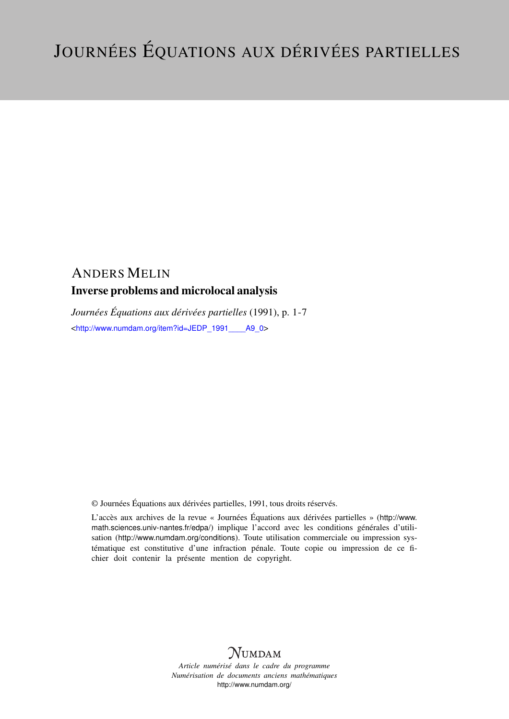# ANDERS MELIN

## Inverse problems and microlocal analysis

*Journées Équations aux dérivées partielles* (1991), p. 1-7 <[http://www.numdam.org/item?id=JEDP\\_1991\\_\\_\\_\\_A9\\_0](http://www.numdam.org/item?id=JEDP_1991____A9_0)>

© Journées Équations aux dérivées partielles, 1991, tous droits réservés.

L'accès aux archives de la revue « Journées Équations aux dérivées partielles » ([http://www.](http://www.math.sciences.univ-nantes.fr/edpa/) [math.sciences.univ-nantes.fr/edpa/](http://www.math.sciences.univ-nantes.fr/edpa/)) implique l'accord avec les conditions générales d'utilisation (<http://www.numdam.org/conditions>). Toute utilisation commerciale ou impression systématique est constitutive d'une infraction pénale. Toute copie ou impression de ce fichier doit contenir la présente mention de copyright.



*Article numérisé dans le cadre du programme Numérisation de documents anciens mathématiques* <http://www.numdam.org/>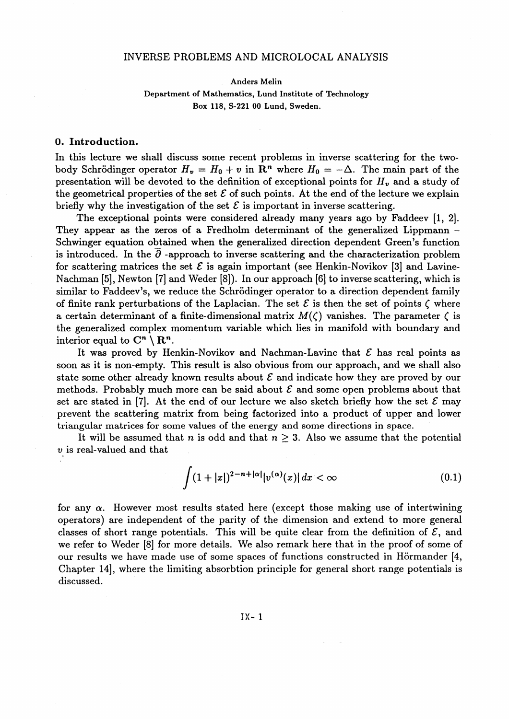### INVERSE PROBLEMS AND MICROLOCAL ANALYSIS

Anders Melin

**Department of Mathematics, Lund Institute of Technology Box 118, S-221 00 Lund. Sweden.**

### **0. Introduction.**

In this lecture we shall discuss some recent problems in inverse scattering for the twobody Schrödinger operator  $H_v = H_0 + v$  in  $\mathbb{R}^n$  where  $H_0 = -\Delta$ . The main part of the presentation will be devoted to the definition of exceptional points for *Hv* and a study of the geometrical properties of the set  $\mathcal E$  of such points. At the end of the lecture we explain briefly why the investigation of the set  $\mathcal E$  is important in inverse scattering.

The exceptional points were considered already many years ago by Faddeev [1, 2]. They appear as the zeros of a Fredholm determinant of the generalized Lippmann -Schwinger equation obtained when the generalized direction dependent Green^s function is introduced. In the  $\partial$ -approach to inverse scattering and the characterization problem for scattering matrices the set  $\mathcal E$  is again important (see Henkin-Novikov [3] and Lavine-Nachman [5], Newton [7] and Weder [8]). In our approach [6] to inverse scattering, which is similar to Faddeev's, we reduce the Schrödinger operator to a direction dependent family of finite rank perturbations of the Laplacian. The set  $\mathcal E$  is then the set of points  $\zeta$  where a certain determinant of a finite-dimensional matrix  $M(\zeta)$  vanishes. The parameter  $\zeta$  is the generalized complex momentum variable which lies in manifold with boundary and interior equal to  $\mathbb{C}^n \setminus \mathbb{R}^n$ .

It was proved by Henkin-Novikov and Nachman-Lavine that *£* has real points as soon as it is non-empty. This result is also obvious from our approach, and we shall also state some other already known results about  $\mathcal E$  and indicate how they are proved by our methods. Probably much more can be said about *£* and some open problems about that set are stated in [7]. At the end of our lecture we also sketch briefly how the set  $\mathcal E$  may prevent the scattering matrix from being factorized into a product of upper and lower triangular matrices for some values of the energy and some directions in space.

It will be assumed that *n* is odd and that  $n \geq 3$ . Also we assume that the potential *v* is real-valued and that

$$
\int (1+|x|)^{2-n+|\alpha|} |v^{(\alpha)}(x)| dx < \infty \tag{0.1}
$$

for any  $\alpha$ . However most results stated here (except those making use of intertwining operators) are independent of the parity of the dimension and extend to more general classes of short range potentials. This will be quite clear from the definition of  $\mathcal{E}$ , and we refer to Weder [8] for more details. We also remark here that in the proof of some of our results we have made use of some spaces of functions constructed in Hörmander [4, Chapter 14], where the limiting absorbtion principle for general short range potentials is discussed.

IX- 1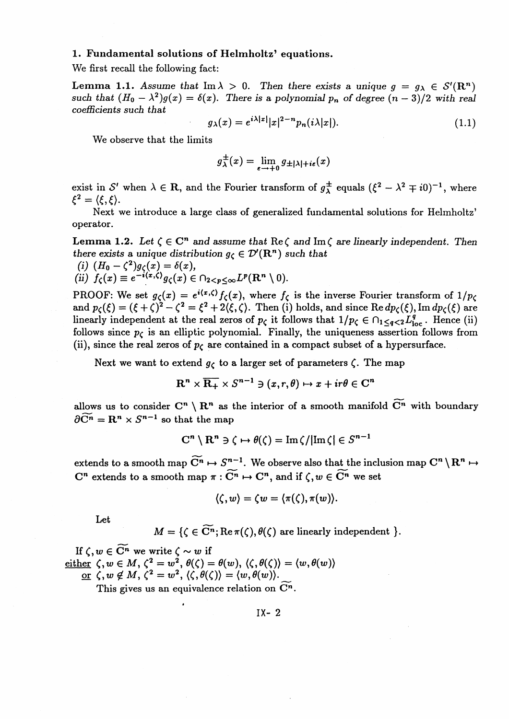### 1. Fundamental solutions of Helmholtz' equations.

We first recall the following fact:

**Lemma 1.1.** Assume that  $\text{Im }\lambda > 0$ . Then there exists a unique  $g = g_{\lambda} \in S'(\mathbb{R}^n)$ such that  $(H_0 - \lambda^2)g(x) = \delta(x)$ . There is a polynomial p<sub>n</sub> of degree  $(n-3)/2$  with real *coefficients such that*

$$
g_{\lambda}(x) = e^{i\lambda|x|}|x|^{2-n}p_n(i\lambda|x|). \tag{1.1}
$$

We observe that the limits

$$
g^{\pm}_{\lambda}(x) = \lim_{\epsilon \to +0} g_{\pm |\lambda| + i\epsilon}(x)
$$

exist in S' when  $\lambda \in \mathbb{R}$ , and the Fourier transform of  $g^{\pm}_{\lambda}$  equals  $({\xi}^2 - {\lambda}^2 \mp i0)^{-1}$ , where  $\xi^2=\langle \xi,\xi\rangle$ .

Next we introduce a large class of generalized fundamental solutions for Helmholtz' operator.

**Lemma 1.2.** Let  $\zeta \in \mathbb{C}^n$  and assume that  $\text{Re}\,\zeta$  and  $\text{Im}\,\zeta$  are linearly independent. Then *there exists a unique distribution*  $g_c \in \mathcal{D}'(\mathbb{R}^n)$  *such that* (i)  $(H_0 - \zeta^2)g_{\zeta}(x) = \delta(x)$ 

(ii) 
$$
f_{\zeta}(x) \equiv e^{-i\langle x,\zeta \rangle} g_{\zeta}(x) \in \bigcap_{2 < p \leq \infty} L^p(\mathbf{R}^n \setminus 0).
$$

PROOF: We set  $g_{\zeta}(x) = e^{i(x,\zeta)} f_{\zeta}(x)$ , where  $f_{\zeta}$  is the inverse Fourier transform of  $1/p_{\zeta}$ PROOF: We set  $g_{\zeta}(x) = e^{i(x,\zeta)} f_{\zeta}(x)$ , where  $f_{\zeta}$  is the inverse Fourier transform of  $1/p_{\zeta}$ <br>and  $p_{\zeta}(\xi) = (\xi + \zeta)^2 - \zeta^2 = \xi^2 + 2(\xi, \zeta)$ . Then (i) holds, and since Re  $dp_{\zeta}(\xi)$ , Im  $dp_{\zeta}(\xi)$  are linearly independent at the real zeros of  $p_c$  it follows that  $1/p_c \in \bigcap_{1 \leq q < 2} L^q_{loc}$ . Hence (ii) follows since  $p<sub>c</sub>$  is an elliptic polynomial. Finally, the uniqueness assertion follows from (ii), since the real zeros of  $p<sub>C</sub>$  are contained in a compact subset of a hypersurface.

Next we want to extend  $g<sub>\zeta</sub>$  to a larger set of parameters  $\zeta$ . The map

$$
\mathbf{R}^n \times \overline{\mathbf{R}_+} \times S^{n-1} \ni (x, r, \theta) \mapsto x + ir\theta \in \mathbf{C}^n
$$

allows us to consider  $\mathbb{C}^n \setminus \mathbb{R}^n$  as the interior of a smooth manifold  $\widetilde{\mathbb{C}^n}$  with boundary  $\partial \widetilde{C}^n = \mathbf{R}^n \times S^{n-1}$  so that the map

$$
C^n \setminus R^n \ni \zeta \mapsto \theta(\zeta) = \operatorname{Im} \zeta / |\operatorname{Im} \zeta| \in S^{n-1}
$$

extends to a smooth map  $\widetilde{C}^n \mapsto S^{n-1}$ . We observe also that the inclusion map  $C^n \setminus R^n \mapsto$ extends to a smooth map  $C^n \mapsto S$ . We observe also that the first  $C^n$  extends to a smooth map  $\pi : \widetilde{C}^n \mapsto C^n$ , and if  $\zeta, w \in \widetilde{C}^n$  we set

$$
\langle \zeta, w \rangle = \zeta w = \langle \pi(\zeta), \pi(w) \rangle.
$$

Let

$$
M = \{ \zeta \in \widetilde{\mathbf{C}^n}; \text{Re}\,\pi(\zeta), \theta(\zeta) \text{ are linearly independent } \}.
$$

 $M = \{ \zeta \in \mathbb{C}^n \}$ <br>If  $\zeta, w \in \widetilde{\mathbb{C}^n}$  we write  $\zeta \sim w$  if  $\text{either}\;\;\zeta,w\in M,\,\zeta^2=w^{\textstyle \frac{2}{\delta}},\,\theta(\zeta)=\theta(w),\,\langle\zeta,\theta(\zeta)\rangle=\langle w,\theta(w)\rangle$ or  $\zeta, w \notin M, \, \zeta^2 = w^2, \, \langle \zeta, \theta(\zeta) \rangle = \langle w, \theta(w) \rangle.$ 

This gives us an equivalence relation on  $\mathbb{C}^n$ .

IX- 2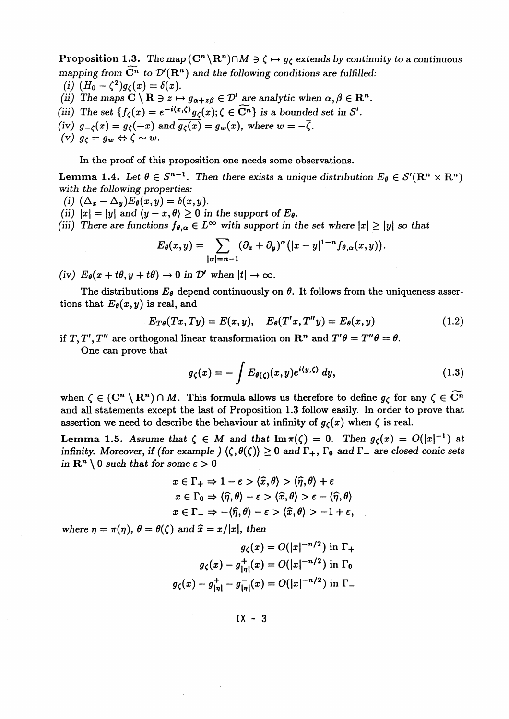**Proposition 1.3.** The map  $(C^n \setminus \mathbb{R}^n) \cap M \ni \zeta \mapsto g_{\zeta}$  extends by continuity to a continuous *mapping from*  $\widetilde{C}^n$  to  $\mathcal{D}'(\mathbb{R}^n)$  and the following conditions are fulfilled:  $(i)$   $(H_0 - \zeta^2)g_{\zeta}(x) = \delta(x).$ 

- 
- *(ii)* The maps  $C \setminus \mathbf{R} \ni z \mapsto g_{\alpha+z\beta} \in \mathcal{D}'$  are analytic when  $\alpha, \beta \in \mathbf{R}^n$ .
- (iii) The set  $\{f_c(x) = e^{-i\langle x,\zeta \rangle}g_c(x); \zeta \in \widetilde{C}^n\}$  is a bounded set in S'.
- *(iv)*  $g_{-\zeta}(x) = g_{\zeta}(-x)$  and  $g_{\zeta}(x) = g_w(x)$ , where  $w = -\overline{\zeta}$ .
- $\begin{array}{c} (iv) \ \ g_{-\zeta}(x) = g_{\zeta}(-x) \; d(x) \ g_{\zeta} = g_w \Leftrightarrow \zeta \sim w. \end{array}$

In the proof of this proposition one needs some observations.

**Lemma 1.4.** Let  $\theta \in S^{n-1}$ . Then there exists a unique distribution  $E_{\theta} \in S'(\mathbb{R}^n \times \mathbb{R}^n)$ with the following properties:

- *(i)*  $(\Delta_x-\Delta_y)E_\theta(x,y)=\delta(x,y).$
- (ii)  $|x| = |y|$  and  $\langle y x, \theta \rangle \ge 0$  in the support of  $E_{\theta}$ .
- (ii) There are functions  $f_{\theta,\alpha} \in L^{\infty}$  with support in the set where  $|x| \ge |y|$  so that  $E_{\theta}(x,y)=\sum (\partial_x+\partial_y)^{\alpha}(|x-y|^{1-n}f_{\theta,\alpha}(x,y)).$

$$
E_{\theta}(x,y)=\sum_{|\alpha|=n-1}(\partial_x+\partial_y)^{\alpha}\big(|x-y|^{1-n}f_{\theta,\alpha}(x,y)\big).
$$

(iv)  $E_{\theta}(x+t\theta, y+t\theta) \rightarrow 0$  in  $\mathcal{D}'$  when  $|t| \rightarrow \infty$ .

The distributions  $E_{\theta}$  depend continuously on  $\theta$ . It follows from the uniqueness assertions that  $E_{\theta}(x, y)$  is real, and

$$
E_{T\theta}(Tx,Ty) = E(x,y), \quad E_{\theta}(T'x,T''y) = E_{\theta}(x,y) \qquad (1.2)
$$

if  $T, T', T''$  are orthogonal linear transformation on  $\mathbb{R}^n$  and  $T'\theta = T''\theta = \theta$ .

One can prove that

$$
g_{\zeta}(x) = -\int E_{\theta(\zeta)}(x, y)e^{i\langle y, \zeta \rangle} dy, \qquad (1.3)
$$

when  $\zeta \in (\mathbb{C}^n \setminus \mathbb{R}^n) \cap M$ . This formula allows us therefore to define  $g_{\zeta}$  for any  $\zeta \in \widetilde{\mathbb{C}^n}$ and all statements except the last of Proposition 1.3 follow easily. In order to prove that assertion we need to describe the behaviour at infinity of  $g<sub>\zeta</sub>(x)$  when  $\zeta$  is real.

**Lemma 1.5.** Assume that  $\zeta \in M$  and that  $\text{Im}\,\pi(\zeta) = 0$ . Then  $g_{\zeta}(x) = O(|x|^{-1})$  at infinity. Moreover, if (for example )  $\langle \zeta, \theta(\zeta) \rangle \ge 0$  and  $\Gamma_+$ ,  $\Gamma_0$  and  $\Gamma_-$  are closed conic set in  $\mathbb{R}^n \setminus 0$  such that for some  $\varepsilon > 0$ 

$$
x \in \Gamma_+ \Rightarrow 1 - \varepsilon > \langle \widehat{x}, \theta \rangle > \langle \widehat{\eta}, \theta \rangle + \varepsilon
$$
  

$$
x \in \Gamma_0 \Rightarrow \langle \widehat{\eta}, \theta \rangle - \varepsilon > \langle \widehat{x}, \theta \rangle > \varepsilon - \langle \widehat{\eta}, \theta \rangle
$$
  

$$
x \in \Gamma_- \Rightarrow -\langle \widehat{\eta}, \theta \rangle - \varepsilon > \langle \widehat{x}, \theta \rangle > -1 + \varepsilon,
$$

where  $\eta = \pi(\eta)$ ,  $\theta = \theta(\zeta)$  and  $\hat{x} = x/|x|$ , then

$$
g_{\zeta}(x) = O(|x|^{-n/2}) \text{ in } \Gamma_+
$$

$$
g_{\zeta}(x) - g_{|\eta|}^+(x) = O(|x|^{-n/2}) \text{ in } \Gamma_0
$$

$$
g_{\zeta}(x) - g_{|\eta|}^+ - g_{|\eta|}^-(x) = O(|x|^{-n/2}) \text{ in } \Gamma_-
$$

IX - 3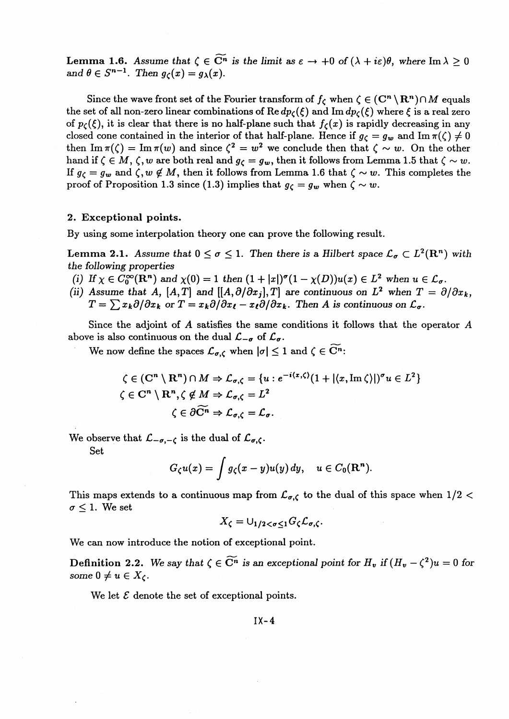**Lemma 1.6.** Assume that  $\zeta \in \widetilde{\mathbb{C}^n}$  is the limit as  $\varepsilon \to +0$  of  $(\lambda + i\varepsilon)\theta$ , where Im  $\lambda > 0$ and  $\theta \in S^{n-1}$ . Then  $q_c(x) = q_{\lambda}(x)$ .

Since the wave front set of the Fourier transform of  $f_{\zeta}$  when  $\zeta \in (\mathbb{C}^n \setminus \mathbb{R}^n) \cap M$  equals the set of all non-zero linear combinations of  $\text{Re } dp_{\mathcal{C}}(\xi)$  and  $\text{Im } dp_{\mathcal{C}}(\xi)$  where  $\xi$  is a real zero of  $p_{\zeta}(\xi)$ , it is clear that there is no half-plane such that  $f_{\zeta}(x)$  is rapidly decreasing in an closed cone contained in the interior of that half-plane. Hence if  $g_c = g_w$  and Im $\pi(\zeta) \neq 0$ then Im  $\pi(\zeta) = \text{Im}\,\pi(w)$  and since  $\zeta^2 = w^2$  we conclude then that  $\zeta \sim w$ . On the other hand if  $\zeta \in M$ ,  $\zeta$ , w are both real and  $g_{\zeta} = g_w$ , then it follows from Lemma 1.5 that  $\zeta \sim w$ . If  $g_c = g_w$  and  $\zeta, w \notin M$ , then it follows from Lemma 1.6 that  $\zeta \sim w$ . This completes the proof of Proposition 1.3 since (1.3) implies that  $g_c = g_w$  when  $\zeta \sim w$ .

#### **2. Exceptional points.**

By using some interpolation theory one can prove the following result.

**Lemma 2.1.** Assume that  $0 \le \sigma \le 1$ . Then there is a Hilbert space  $\mathcal{L}_{\sigma} \subset L^2(\mathbb{R}^n)$  with the *following properties (i)* If  $\chi \in C_0^{\infty}(\mathbb{R}^n)$  and  $\chi(0) = 1$  then  $(1 + |x|)^{\sigma}(1 - \chi(D))u(x) \in L^2$  when  $u \in \mathcal{L}_{\sigma}$ .

- 
- (ii) Assume that A,  $[A, T]$  and  $[[A, \partial/\partial x_j], T]$  are continuous on  $L^2$  when  $T = \partial/\partial x_k$  $T = \sum x_k \partial/\partial x_k$  or  $T = x_k \partial/\partial x_\ell - x_\ell \partial/\partial x_k$ . Then A is continuous on  $\mathcal{L}_{\sigma}$ .

Since the adjoint of A satisfies the same conditions it follows that the operator A above is also continuous on the dual  $\mathcal{L}_{-\sigma}$  of  $\mathcal{L}_{\sigma}$ .

We now define the spaces  $\mathcal{L}_{\sigma, \zeta}$  when  $|\sigma| \leq 1$  and  $\zeta \in \widetilde{C}^n$ :

$$
\zeta \in (\mathbf{C}^n \setminus \mathbf{R}^n) \cap M \Rightarrow \mathcal{L}_{\sigma,\zeta} = \{u : e^{-i\langle x,\zeta\rangle} (1 + |\langle x,\operatorname{Im}\zeta\rangle|)^{\sigma} u \in L^2 \}
$$
  

$$
\zeta \in \mathbf{C}^n \setminus \mathbf{R}^n, \zeta \notin M \Rightarrow \mathcal{L}_{\sigma,\zeta} = L^2
$$
  

$$
\zeta \in \partial \widetilde{\mathbf{C}^n} \Rightarrow \mathcal{L}_{\sigma,\zeta} = \mathcal{L}_{\sigma}.
$$

We observe that  $\mathcal{L}_{-\sigma,-\zeta}$  is the dual of  $\mathcal{L}_{\sigma,\zeta}$ .

Set

$$
G_{\zeta}u(x)=\int g_{\zeta}(x-y)u(y)\,dy,\quad u\in C_0({\bf R}^n).
$$

This maps extends to a continuous map from  $\mathcal{L}_{\sigma,\zeta}$  to the dual of this space when  $1/2 <$  $\sigma \leq 1$ . We set

$$
X_{\zeta}=\cup_{1/2<\sigma\leq 1}G_{\zeta}\mathcal{L}_{\sigma,\zeta}.
$$

We can now introduce the notion of exceptional point.

**Definition 2.2.** We say that  $\zeta \in \widetilde{\mathbb{C}^n}$  is an exceptional point for  $H_v$  if  $(H_v - \zeta^2)u = 0$  for some  $0 \neq u \in X_c$ .

We let  $\mathcal E$  denote the set of exceptional points.

$$
IX-4
$$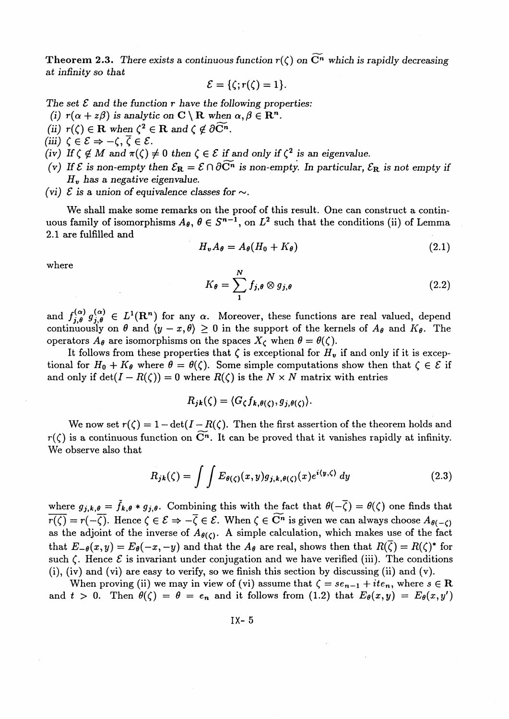**Theorem 2.3.** There exists a continuous function  $r(\zeta)$  on  $\widetilde{\mathbb{C}}^n$  which is rapidly decreasing *at infinity so that*

$$
\mathcal{E} = \{\zeta; r(\zeta) = 1\}.
$$

The set *€ and the function r have the following properties:* The set  $\mathcal{E}$  and the function  $r$  have the following prop (i)  $r(\alpha + z\beta)$  is analytic on  $\mathbf{C} \setminus \mathbf{R}$  when  $\alpha, \beta \in \mathbf{R}^n$ .

- (i)  $r(\alpha + z\beta)$  is analytic on  $C \setminus R$  when<br>(ii)  $r(\zeta) \in R$  when  $\zeta^2 \in R$  and  $\zeta \notin \partial \widehat{C}^n$ .
- *(iii)*  $\zeta \in \mathcal{E} \Rightarrow -\zeta, \overline{\zeta} \in \mathcal{E}$ .
- $(iu)$   $\zeta \in \mathcal{E} \Rightarrow -\zeta$ ,  $\zeta \in \mathcal{E}$ .<br>  $(iv)$  If  $\zeta \notin M$  and  $\pi(\zeta) \neq 0$  then  $\zeta \in \mathcal{E}$  if and only if  $\zeta^2$  is an eigenvalue.
- *(v)* If  $\mathcal{E}$  is non-empty then  $\mathcal{E}_R = \mathcal{E} \cap \partial \widetilde{C}^n$  is non-empty. In particular,  $\mathcal{E}_R$  is not empty if *Hv has a negative eigenvalue.*
- *(vi)*  $\mathcal{E}$  is a union of equivalence classes for  $\sim$ .

We shall make some remarks on the proof of this result. One can construct a continuous family of isomorphisms  $A_{\theta}$ ,  $\theta \in S^{n-1}$ , on  $L^2$  such that the conditions (ii) of Lemma 2.1 are fulfilled and

$$
H_{\boldsymbol{v}}A_{\boldsymbol{\theta}} = A_{\boldsymbol{\theta}}(H_0 + K_{\boldsymbol{\theta}}) \tag{2.1}
$$

where

$$
K_{\theta} = \sum_{1}^{N} f_{j,\theta} \otimes g_{j,\theta} \tag{2.2}
$$

and  $f^{(\alpha)}_{j,\theta} g^{(\alpha)}_{j,\theta} \in L^1(\mathbb{R}^n)$  for any  $\alpha$ . Moreover, these functions are real valued, depend continuously on  $\theta$  and  $\langle y - x, \theta \rangle \ge 0$  in the support of the kernels of  $A_{\theta}$  and  $K_{\theta}$ . The operators  $A_{\theta}$  are isomorphisms on the spaces  $X_{\zeta}$  when  $\theta = \theta(\zeta)$ .

It follows from these properties that  $\zeta$  is exceptional for  $H_{\nu}$  if and only if it is exceptional for  $H_0 + K_{\theta}$  where  $\theta = \theta(\zeta)$ . Some simple computations show then that  $\zeta \in \mathcal{E}$  if and only if det( $I - R(\zeta)$ ) = 0 where  $R(\zeta)$  is the  $N \times N$  matrix with entries

$$
R_{jk}(\zeta) = \langle G_{\zeta} f_{k,\theta(\zeta)}, g_{j,\theta(\zeta)} \rangle.
$$

We now set  $r(\zeta) = 1 - \det(I - R(\zeta))$ . Then the first assertion of the theorem holds and  $r(\zeta)$  is a continuous function on  $\widetilde{\mathbb{C}}^n$ . It can be proved that it vanishes rapidly at infinity. We observe also that

$$
R_{jk}(\zeta) = \int \int E_{\theta(\zeta)}(x, y) g_{j,k,\theta(\zeta)}(x) e^{i \langle y, \zeta \rangle} dy \qquad (2.3)
$$

where  $g_{j,k,\theta} = \check{f}_{k,\theta} * g_{j,\theta}$ . Combining this with the fact that  $\theta(-\overline{\zeta}) = \theta(\zeta)$  one finds that  $\overline{r(\zeta)} = r(-\overline{\zeta})$ . Hence  $\zeta \in \mathcal{E} \Rightarrow -\overline{\zeta} \in \mathcal{E}$ . When  $\zeta \in \widetilde{\mathbb{C}^n}$  is given we can always choose  $A_{\theta(-\zeta)}$ as the adjoint of the inverse of  $A_{\theta(C)}$ . A simple calculation, which makes use of the fact that  $E_{-\theta}(x,y) = E_{\theta}(-x,-y)$  and that the  $A_{\theta}$  are real, shows then that  $R(\bar{\zeta}) = R(\zeta)^*$  for such  $\zeta$ . Hence  $\zeta$  is invariant under conjugation and we have verified (iii). The conditions (i), (iv) and (vi) are easy to verify, so we finish this section by discussing (ii) and (v).

When proving (ii) we may in view of (vi) assume that  $\zeta = s e_{n-1} + i t e_n$ , where  $s \in \mathbb{R}$ and  $t > 0$ . Then  $\theta(\zeta) = \theta = e_n$  and it follows from (1.2) that  $E_\theta(x, y) = E_\theta(x, y')$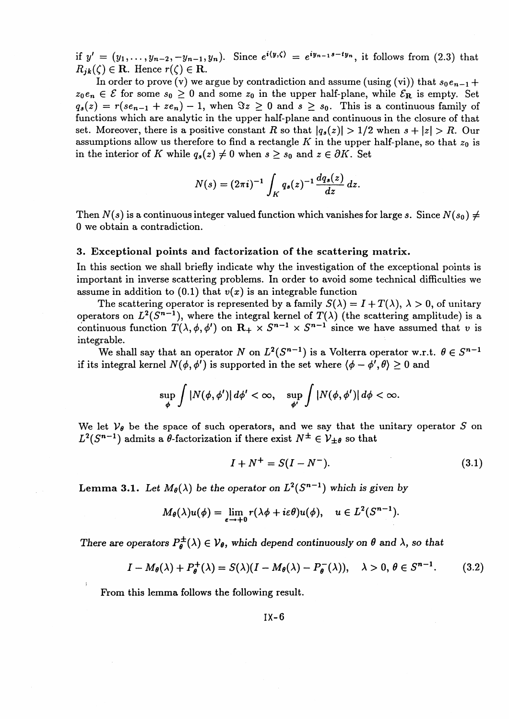if  $y' = (y_1, \ldots, y_{n-2}, -y_{n-1}, y_n)$ . Since  $e^{i\langle y, \zeta \rangle} = e^{iy_{n-1}s - ty_n}$ , it follows from (2.3) that  $R_{ik}(\zeta) \in \mathbf{R}$ . Hence  $r(\zeta) \in \mathbf{R}$ .

In order to prove (v) we argue by contradiction and assume (using (vi)) that  $s_0e_{n-1}$  +  $z_0e_n \in \mathcal{E}$  for some  $s_0 \geq 0$  and some  $z_0$  in the upper half-plane, while  $\mathcal{E}_R$  is empty. Set  $q_s(z) = r(se_{n-1} + ze_n) - 1$ , when  $\Im z \geq 0$  and  $s \geq s_0$ . This is a continuous family of functions which are analytic in the upper half-plane and continuous in the closure of that set. Moreover, there is a positive constant *R* so that  $|q_s(z)| > 1/2$  when  $s + |z| > R$ . Our assumptions allow us therefore to find a rectangle K in the upper half-plane, so that  $z_0$  is in the interior of *K* while  $q_s(z) \neq 0$  when  $s \geq s_0$  and  $z \in \partial K$ . Set

$$
N(s) = (2\pi i)^{-1} \int_K q_s(z)^{-1} \frac{dq_s(z)}{dz} dz.
$$

Then  $N(s)$  is a continuous integer valued function which vanishes for large s. Since  $N(s_0) \neq$ 0 we obtain a contradiction.

### **3. Exceptional points and factorization of the scattering matrix.**

In this section we shall briefly indicate why the investigation of the exceptional points is important in inverse scattering problems. In order to avoid some technical difficulties we assume in addition to  $(0.1)$  that  $v(x)$  is an integrable function

The scattering operator is represented by a family  $S(\lambda) = I + T(\lambda)$ ,  $\lambda > 0$ , of unitary operators on  $L^2(S^{n-1})$ , where the integral kernel of  $T(\lambda)$  (the scattering amplitude) is a continuous function  $T(\lambda, \phi, \phi')$  on  $\mathbb{R}_+ \times S^{n-1} \times S^{n-1}$  since we have assumed that *v* is integrable.

We shall say that an operator  $N$  on  $L^2(S^{n-1})$  is a Volterra operator w.r.t.  $\theta \in S^{n-1}$  $i$  if its integral kernel  $N(\phi, \phi^I)$  is supported in the set where  $\langle \phi - \phi^I, \theta \rangle \geq 0$  and

$$
\sup_{\phi}\int|N(\phi,\phi')|\,d\phi'<\infty,\quad\sup_{\phi'}\int|N(\phi,\phi')|\,d\phi<\infty.
$$

We let  $V_{\theta}$  be the space of such operators, and we say that the unitary operator S on  $L^2(S^{n-1})$  admits a  $\theta$ -factorization if there exist  $N^{\pm} \in V_{\pm\theta}$  so that

$$
I + N^{+} = S(I - N^{-}).
$$
\n(3.1)

Lemma 3.1. Let  $M_{\theta}(\lambda)$  be the operator on  $L^2(S^{n-1})$  which is given by

$$
M_{\theta}(\lambda)u(\phi)=\lim_{\epsilon\to+0}r(\lambda\phi+i\epsilon\theta)u(\phi),\quad u\in L^2(S^{n-1}).
$$

There are operators  $P^{\pm}_{\theta}(\lambda) \in V_{\theta}$ , which depend continuously on  $\theta$  and  $\lambda$ , so that

$$
I - M_{\theta}(\lambda) + P_{\theta}^{+}(\lambda) = S(\lambda)(I - M_{\theta}(\lambda) - P_{\theta}^{-}(\lambda)), \quad \lambda > 0, \ \theta \in S^{n-1}.
$$
 (3.2)

From this lemma follows the following result.

IX-6